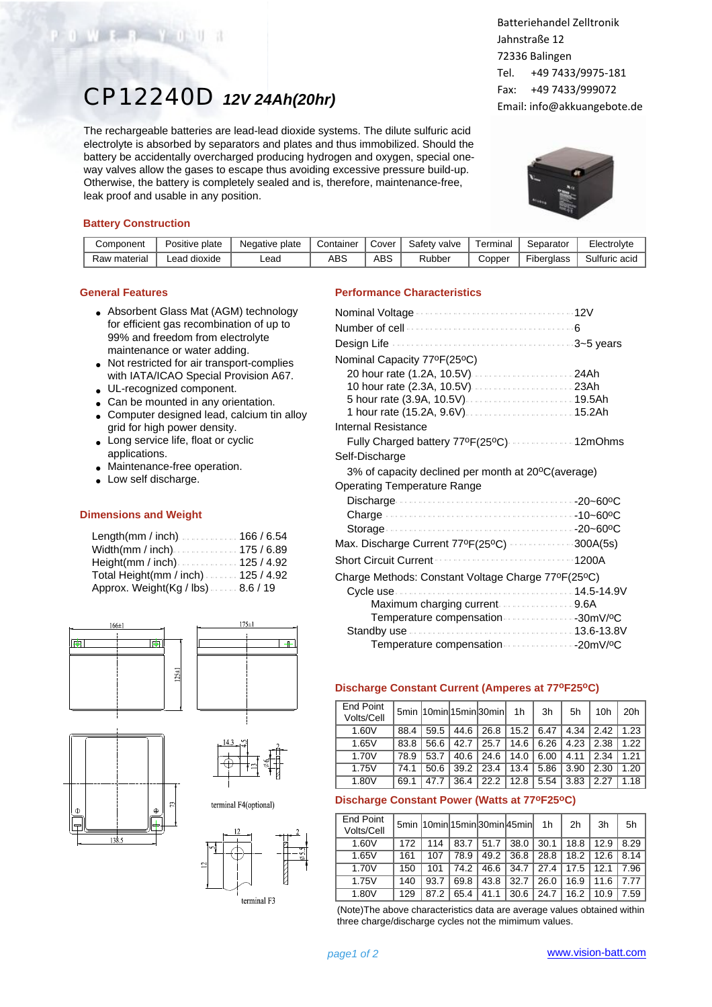# CP12240D *12V 24Ah(20hr)*

The rechargeable batteries are lead-lead dioxide systems. The dilute sulfuric acid electrolyte is absorbed by separators and plates and thus immobilized. Should the battery be accidentally overcharged producing hydrogen and oxygen, special oneway valves allow the gases to escape thus avoiding excessive pressure build-up. Otherwise, the battery is completely sealed and is, therefore, maintenance-free, leak proof and usable in any position.

## Batteriehandel Zelltronik Jahnstraße 12 72336 Balingen Tel. +49 7433/9975-181 Fax: +49 7433/999072 Email: info@akkuangebote.de



#### **Battery Construction**

 $W = 3 - 7 - 0$ 

| Component    | Positive plate | Negative plate | Container | Cover | Safety valve | ⊺erminal | Separator                            | Electrolyte   |
|--------------|----------------|----------------|-----------|-------|--------------|----------|--------------------------------------|---------------|
| Raw material | dioxide<br>ead | Lead.          | ABS       | ABS   | Rubber       | Copper   | $- \cdot \cdot$<br><b>Fiberalass</b> | Sulfuric acid |

#### **General Features**

- Absorbent Glass Mat (AGM) technology for efficient gas recombination of up to 99% and freedom from electrolyte maintenance or water adding.
- Not restricted for air transport-complies with IATA/ICAO Special Provision A67.
- UL-recognized component.
- Can be mounted in any orientation.
- Computer designed lead, calcium tin alloy grid for high power density.
- Long service life, float or cyclic applications.
- Maintenance-free operation.
- Low self discharge.

#### **Dimensions and Weight**

| Length(mm / inch)166 / 6.54           |  |
|---------------------------------------|--|
| Width(mm / inch)175 / 6.89            |  |
| Height(mm / inch) $\ldots$ 125 / 4.92 |  |
| Total Height(mm / inch) 125 / 4.92    |  |
| Approx. Weight(Kg / lbs)8.6 / 19      |  |



### **Performance Characteristics**

| Number of cell <b>contain a contain the container</b> of |  |
|----------------------------------------------------------|--|
|                                                          |  |
| Nominal Capacity 77ºF(25ºC)                              |  |
|                                                          |  |
| 10 hour rate (2.3A, 10.5V)  23Ah                         |  |
|                                                          |  |
| 1 hour rate (15.2A, 9.6V)  15.2Ah                        |  |
| Internal Resistance                                      |  |
| Fully Charged battery 77ºF(25ºC)  12mOhms                |  |
| Self-Discharge                                           |  |
| 3% of capacity declined per month at 20°C(average)       |  |
| <b>Operating Temperature Range</b>                       |  |
|                                                          |  |
|                                                          |  |
|                                                          |  |
| Max. Discharge Current 77ºF(25°C) 300A(5s)               |  |
| <b>Short Circuit Current</b><br>1200A<br>.               |  |
| Charge Methods: Constant Voltage Charge 77ºF(25ºC)       |  |
|                                                          |  |
|                                                          |  |
| Temperature compensation 30mV/ºC                         |  |
|                                                          |  |
|                                                          |  |

#### **Discharge Constant Current (Amperes at 77oF25oC)**

| End Point<br>Volts/Cell |      |      |      | 5min 10min 15min 30min | 1h   | 3h   | 5h   | 10 <sub>h</sub> | 20h  |
|-------------------------|------|------|------|------------------------|------|------|------|-----------------|------|
| 1.60V                   | 88.4 | 59.5 | 44.6 | 26.8                   | 15.2 | 6.47 | 4.34 | 2.42            | 1.23 |
| 1.65V                   | 83.8 | 56.6 | 42.7 | 25.7                   | 14.6 | 6.26 | 4.23 | 2.38            | 1.22 |
| 1.70V                   | 78.9 | 53.7 | 40.6 | 24.6                   | 14.0 | 6.00 | 4.11 | 2.34            | 1.21 |
| 1.75V                   | 74.1 | 50.6 | 39.2 | 23.4                   | 13.4 | 5.86 | 3.90 | 2.30            | 1.20 |
| 1.80V                   | 69.1 | 47.7 | 36.4 | 22.2                   | 12.8 | 5.54 | 3.83 | 2.27            | 1.18 |

#### **Discharge Constant Power (Watts at 77oF25oC)**

| <b>End Point</b><br>Volts/Cell |     |      |      |      | 5min 10min 15min 30min 45min | 1h   | 2h   | 3h   | 5h   |
|--------------------------------|-----|------|------|------|------------------------------|------|------|------|------|
| 1.60V                          | 172 | 114  | 83.7 | 51.7 | 38.0                         | 30.1 | 18.8 | 12.9 | 8.29 |
| 1.65V                          | 161 | 107  | 78.9 | 49.2 | 36.8                         | 28.8 | 18.2 | 12.6 | 8.14 |
| 1.70V                          | 150 | 101  | 74.2 | 46.6 | 34.7                         | 27.4 | 17.5 | 12.1 | 7.96 |
| 1.75V                          | 140 | 93.7 | 69.8 | 43.8 | 32.7                         | 26.0 | 16.9 | 11.6 | 7.77 |
| 1.80V                          | 129 | 87.2 | 65.4 | 41.1 | 30.6                         | 24.7 | 16.2 | 10.9 | 7.59 |

(Note)The above characteristics data are average values obtained within three charge/discharge cycles not the mimimum values.

terminal F3